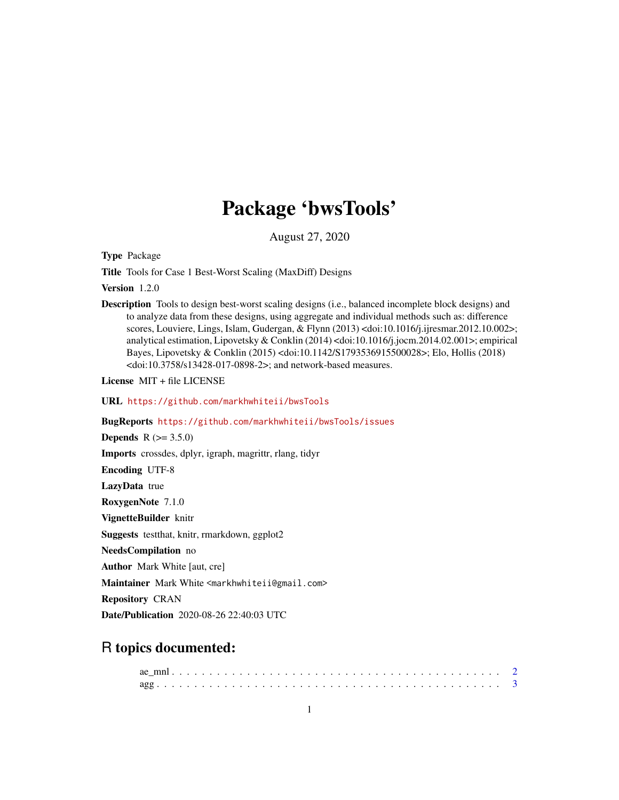# Package 'bwsTools'

August 27, 2020

Type Package

Title Tools for Case 1 Best-Worst Scaling (MaxDiff) Designs

Version 1.2.0

Description Tools to design best-worst scaling designs (i.e., balanced incomplete block designs) and to analyze data from these designs, using aggregate and individual methods such as: difference scores, Louviere, Lings, Islam, Gudergan, & Flynn (2013) <doi:10.1016/j.ijresmar.2012.10.002>; analytical estimation, Lipovetsky & Conklin (2014) <doi:10.1016/j.jocm.2014.02.001>; empirical Bayes, Lipovetsky & Conklin (2015) <doi:10.1142/S1793536915500028>; Elo, Hollis (2018) <doi:10.3758/s13428-017-0898-2>; and network-based measures.

License MIT + file LICENSE

URL <https://github.com/markhwhiteii/bwsTools>

BugReports <https://github.com/markhwhiteii/bwsTools/issues>

**Depends**  $R (= 3.5.0)$ 

Imports crossdes, dplyr, igraph, magrittr, rlang, tidyr

Encoding UTF-8

LazyData true

RoxygenNote 7.1.0

VignetteBuilder knitr

Suggests testthat, knitr, rmarkdown, ggplot2

NeedsCompilation no

Author Mark White [aut, cre]

Maintainer Mark White <markhwhiteii@gmail.com>

Repository CRAN

Date/Publication 2020-08-26 22:40:03 UTC

# R topics documented: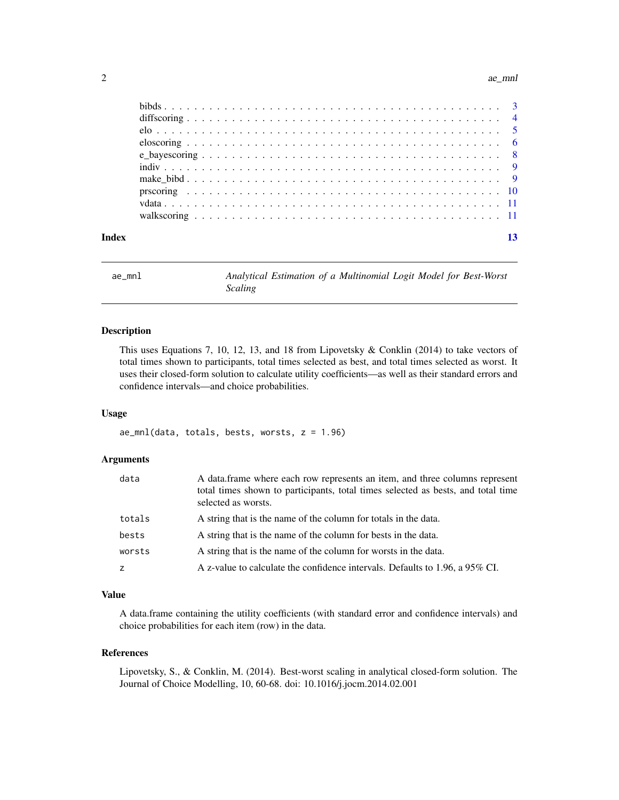#### <span id="page-1-0"></span>2 ae\_mnl

| Index |  |
|-------|--|
|       |  |
|       |  |
|       |  |
|       |  |
|       |  |
|       |  |
|       |  |
|       |  |
|       |  |
|       |  |

ae\_mnl *Analytical Estimation of a Multinomial Logit Model for Best-Worst Scaling*

# Description

This uses Equations 7, 10, 12, 13, and 18 from Lipovetsky & Conklin (2014) to take vectors of total times shown to participants, total times selected as best, and total times selected as worst. It uses their closed-form solution to calculate utility coefficients—as well as their standard errors and confidence intervals—and choice probabilities.

#### Usage

 $ae_{mnl}(data, totals, bests, works, z = 1.96)$ 

# Arguments

| data   | A data frame where each row represents an item, and three columns represent<br>total times shown to participants, total times selected as bests, and total time<br>selected as worsts. |
|--------|----------------------------------------------------------------------------------------------------------------------------------------------------------------------------------------|
| totals | A string that is the name of the column for totals in the data.                                                                                                                        |
| bests  | A string that is the name of the column for bests in the data.                                                                                                                         |
| worsts | A string that is the name of the column for worsts in the data.                                                                                                                        |
| z      | A z-value to calculate the confidence intervals. Defaults to 1.96, a 95% CI.                                                                                                           |

# Value

A data.frame containing the utility coefficients (with standard error and confidence intervals) and choice probabilities for each item (row) in the data.

### References

Lipovetsky, S., & Conklin, M. (2014). Best-worst scaling in analytical closed-form solution. The Journal of Choice Modelling, 10, 60-68. doi: 10.1016/j.jocm.2014.02.001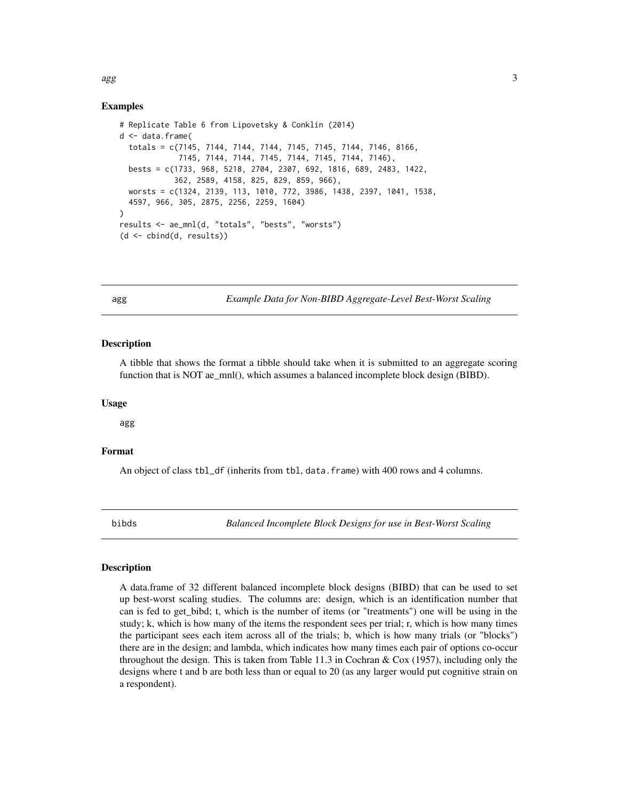#### Examples

```
# Replicate Table 6 from Lipovetsky & Conklin (2014)
d <- data.frame(
 totals = c(7145, 7144, 7144, 7144, 7145, 7145, 7144, 7146, 8166,
             7145, 7144, 7144, 7145, 7144, 7145, 7144, 7146),
 bests = c(1733, 968, 5218, 2704, 2307, 692, 1816, 689, 2483, 1422,
            362, 2589, 4158, 825, 829, 859, 966),
 worsts = c(1324, 2139, 113, 1010, 772, 3986, 1438, 2397, 1041, 1538,
 4597, 966, 305, 2875, 2256, 2259, 1604)
)
results <- ae_mnl(d, "totals", "bests", "worsts")
(d <- cbind(d, results))
```
agg *Example Data for Non-BIBD Aggregate-Level Best-Worst Scaling*

#### **Description**

A tibble that shows the format a tibble should take when it is submitted to an aggregate scoring function that is NOT ae\_mnl(), which assumes a balanced incomplete block design (BIBD).

### Usage

agg

# Format

An object of class tbl\_df (inherits from tbl, data.frame) with 400 rows and 4 columns.

bibds *Balanced Incomplete Block Designs for use in Best-Worst Scaling*

#### **Description**

A data.frame of 32 different balanced incomplete block designs (BIBD) that can be used to set up best-worst scaling studies. The columns are: design, which is an identification number that can is fed to get\_bibd; t, which is the number of items (or "treatments") one will be using in the study; k, which is how many of the items the respondent sees per trial; r, which is how many times the participant sees each item across all of the trials; b, which is how many trials (or "blocks") there are in the design; and lambda, which indicates how many times each pair of options co-occur throughout the design. This is taken from Table 11.3 in Cochran  $\&$  Cox (1957), including only the designs where t and b are both less than or equal to 20 (as any larger would put cognitive strain on a respondent).

<span id="page-2-0"></span> $\log$  3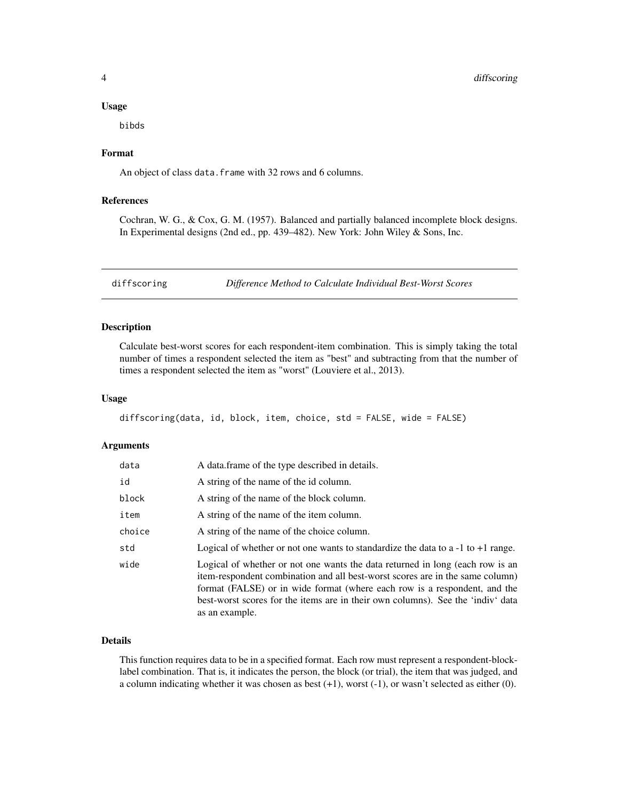#### <span id="page-3-0"></span>Usage

bibds

# Format

An object of class data. frame with 32 rows and 6 columns.

# References

Cochran, W. G., & Cox, G. M. (1957). Balanced and partially balanced incomplete block designs. In Experimental designs (2nd ed., pp. 439–482). New York: John Wiley & Sons, Inc.

diffscoring *Difference Method to Calculate Individual Best-Worst Scores*

# Description

Calculate best-worst scores for each respondent-item combination. This is simply taking the total number of times a respondent selected the item as "best" and subtracting from that the number of times a respondent selected the item as "worst" (Louviere et al., 2013).

# Usage

diffscoring(data, id, block, item, choice, std = FALSE, wide = FALSE)

# Arguments

| data   | A data frame of the type described in details.                                                                                                                                                                                                                                                                                                   |
|--------|--------------------------------------------------------------------------------------------------------------------------------------------------------------------------------------------------------------------------------------------------------------------------------------------------------------------------------------------------|
| id     | A string of the name of the id column.                                                                                                                                                                                                                                                                                                           |
| block  | A string of the name of the block column.                                                                                                                                                                                                                                                                                                        |
| item   | A string of the name of the item column.                                                                                                                                                                                                                                                                                                         |
| choice | A string of the name of the choice column.                                                                                                                                                                                                                                                                                                       |
| std    | Logical of whether or not one wants to standardize the data to a $-1$ to $+1$ range.                                                                                                                                                                                                                                                             |
| wide   | Logical of whether or not one wants the data returned in long (each row is an<br>item-respondent combination and all best-worst scores are in the same column)<br>format (FALSE) or in wide format (where each row is a respondent, and the<br>best-worst scores for the items are in their own columns). See the 'indiv' data<br>as an example. |

# Details

This function requires data to be in a specified format. Each row must represent a respondent-blocklabel combination. That is, it indicates the person, the block (or trial), the item that was judged, and a column indicating whether it was chosen as best (+1), worst (-1), or wasn't selected as either (0).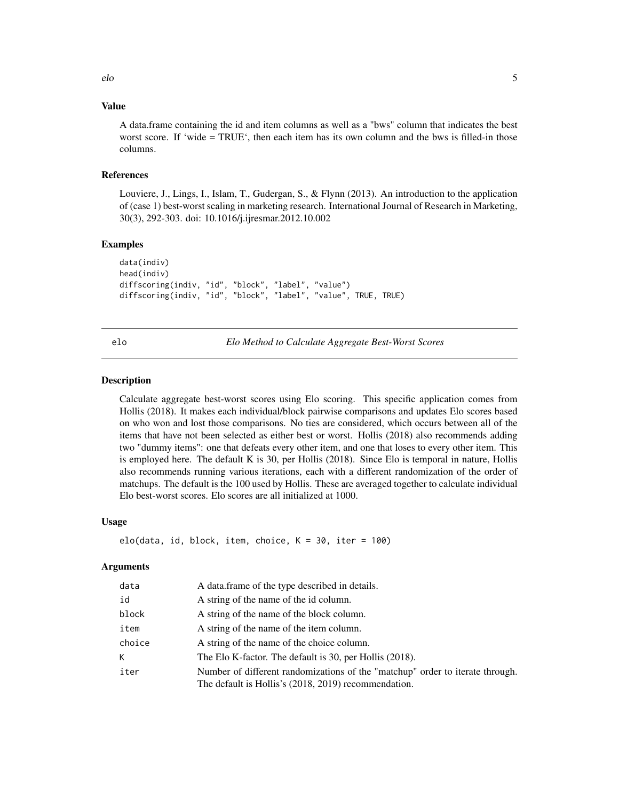# <span id="page-4-0"></span>Value

A data.frame containing the id and item columns as well as a "bws" column that indicates the best worst score. If 'wide = TRUE', then each item has its own column and the bws is filled-in those columns.

#### References

Louviere, J., Lings, I., Islam, T., Gudergan, S., & Flynn (2013). An introduction to the application of (case 1) best-worst scaling in marketing research. International Journal of Research in Marketing, 30(3), 292-303. doi: 10.1016/j.ijresmar.2012.10.002

# Examples

```
data(indiv)
head(indiv)
diffscoring(indiv, "id", "block", "label", "value")
diffscoring(indiv, "id", "block", "label", "value", TRUE, TRUE)
```
elo *Elo Method to Calculate Aggregate Best-Worst Scores*

#### **Description**

Calculate aggregate best-worst scores using Elo scoring. This specific application comes from Hollis (2018). It makes each individual/block pairwise comparisons and updates Elo scores based on who won and lost those comparisons. No ties are considered, which occurs between all of the items that have not been selected as either best or worst. Hollis (2018) also recommends adding two "dummy items": one that defeats every other item, and one that loses to every other item. This is employed here. The default K is 30, per Hollis (2018). Since Elo is temporal in nature, Hollis also recommends running various iterations, each with a different randomization of the order of matchups. The default is the 100 used by Hollis. These are averaged together to calculate individual Elo best-worst scores. Elo scores are all initialized at 1000.

# Usage

```
elo(data, id, block, item, choice, K = 30, iter = 100)
```
### Arguments

| data   | A data frame of the type described in details.                                                                                        |
|--------|---------------------------------------------------------------------------------------------------------------------------------------|
| id     | A string of the name of the id column.                                                                                                |
| block  | A string of the name of the block column.                                                                                             |
| item   | A string of the name of the item column.                                                                                              |
| choice | A string of the name of the choice column.                                                                                            |
| K      | The Elo K-factor. The default is 30, per Hollis (2018).                                                                               |
| iter   | Number of different randomizations of the "matchup" order to iterate through.<br>The default is Hollis's (2018, 2019) recommendation. |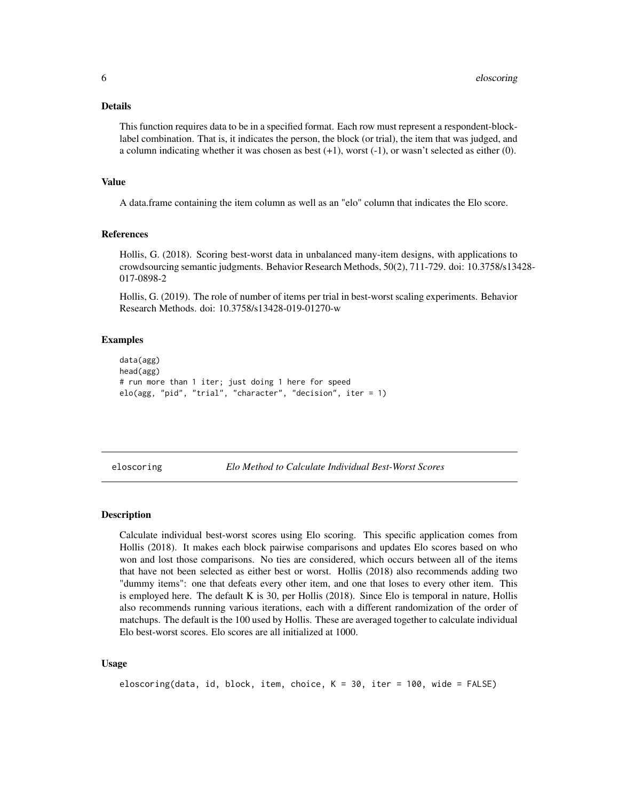#### <span id="page-5-0"></span>Details

This function requires data to be in a specified format. Each row must represent a respondent-blocklabel combination. That is, it indicates the person, the block (or trial), the item that was judged, and a column indicating whether it was chosen as best (+1), worst (-1), or wasn't selected as either (0).

# Value

A data.frame containing the item column as well as an "elo" column that indicates the Elo score.

#### References

Hollis, G. (2018). Scoring best-worst data in unbalanced many-item designs, with applications to crowdsourcing semantic judgments. Behavior Research Methods, 50(2), 711-729. doi: 10.3758/s13428- 017-0898-2

Hollis, G. (2019). The role of number of items per trial in best-worst scaling experiments. Behavior Research Methods. doi: 10.3758/s13428-019-01270-w

# Examples

```
data(agg)
head(agg)
# run more than 1 iter; just doing 1 here for speed
elo(agg, "pid", "trial", "character", "decision", iter = 1)
```
eloscoring *Elo Method to Calculate Individual Best-Worst Scores*

# **Description**

Calculate individual best-worst scores using Elo scoring. This specific application comes from Hollis (2018). It makes each block pairwise comparisons and updates Elo scores based on who won and lost those comparisons. No ties are considered, which occurs between all of the items that have not been selected as either best or worst. Hollis (2018) also recommends adding two "dummy items": one that defeats every other item, and one that loses to every other item. This is employed here. The default K is 30, per Hollis (2018). Since Elo is temporal in nature, Hollis also recommends running various iterations, each with a different randomization of the order of matchups. The default is the 100 used by Hollis. These are averaged together to calculate individual Elo best-worst scores. Elo scores are all initialized at 1000.

# Usage

```
eloscoring(data, id, block, item, choice, K = 30, iter = 100, wide = FALSE)
```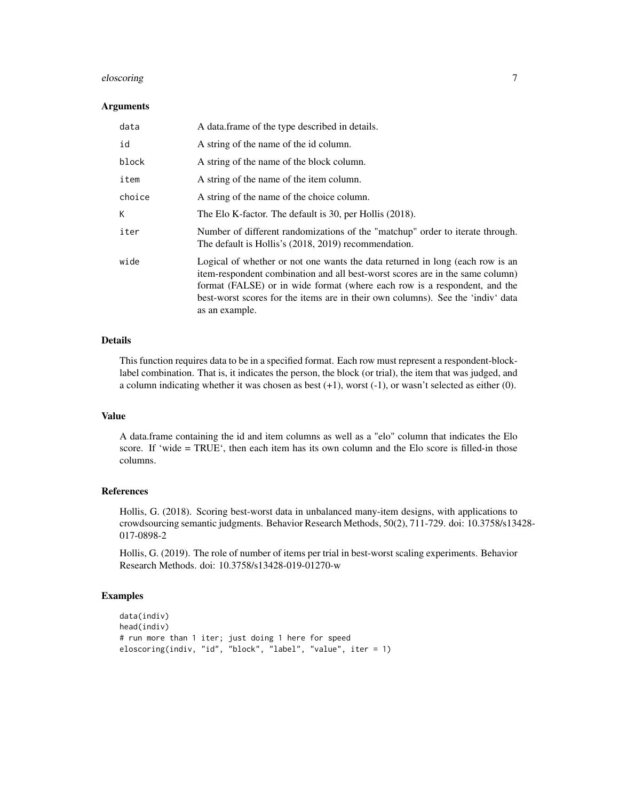# eloscoring 7

#### Arguments

| data   | A data frame of the type described in details.                                                                                                                                                                                                                                                                                                   |
|--------|--------------------------------------------------------------------------------------------------------------------------------------------------------------------------------------------------------------------------------------------------------------------------------------------------------------------------------------------------|
| id     | A string of the name of the id column.                                                                                                                                                                                                                                                                                                           |
| block  | A string of the name of the block column.                                                                                                                                                                                                                                                                                                        |
| item   | A string of the name of the item column.                                                                                                                                                                                                                                                                                                         |
| choice | A string of the name of the choice column.                                                                                                                                                                                                                                                                                                       |
| К      | The Elo K-factor. The default is 30, per Hollis (2018).                                                                                                                                                                                                                                                                                          |
| iter   | Number of different randomizations of the "matchup" order to iterate through.<br>The default is Hollis's (2018, 2019) recommendation.                                                                                                                                                                                                            |
| wide   | Logical of whether or not one wants the data returned in long (each row is an<br>item-respondent combination and all best-worst scores are in the same column)<br>format (FALSE) or in wide format (where each row is a respondent, and the<br>best-worst scores for the items are in their own columns). See the 'indiv' data<br>as an example. |

# Details

This function requires data to be in a specified format. Each row must represent a respondent-blocklabel combination. That is, it indicates the person, the block (or trial), the item that was judged, and a column indicating whether it was chosen as best (+1), worst (-1), or wasn't selected as either (0).

#### Value

A data.frame containing the id and item columns as well as a "elo" column that indicates the Elo score. If 'wide = TRUE', then each item has its own column and the Elo score is filled-in those columns.

# References

Hollis, G. (2018). Scoring best-worst data in unbalanced many-item designs, with applications to crowdsourcing semantic judgments. Behavior Research Methods, 50(2), 711-729. doi: 10.3758/s13428- 017-0898-2

Hollis, G. (2019). The role of number of items per trial in best-worst scaling experiments. Behavior Research Methods. doi: 10.3758/s13428-019-01270-w

# Examples

```
data(indiv)
head(indiv)
# run more than 1 iter; just doing 1 here for speed
eloscoring(indiv, "id", "block", "label", "value", iter = 1)
```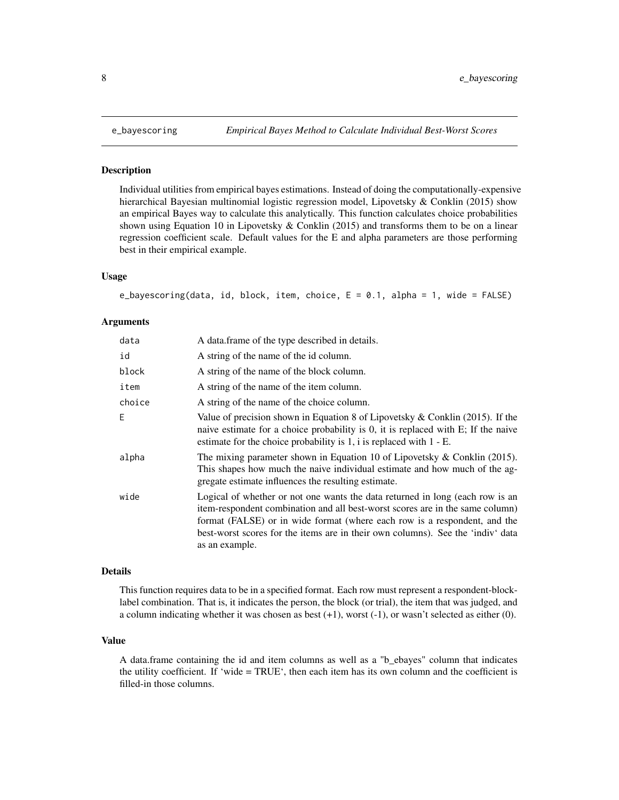<span id="page-7-0"></span>

#### Description

Individual utilities from empirical bayes estimations. Instead of doing the computationally-expensive hierarchical Bayesian multinomial logistic regression model, Lipovetsky & Conklin (2015) show an empirical Bayes way to calculate this analytically. This function calculates choice probabilities shown using Equation 10 in Lipovetsky  $&$  Conklin (2015) and transforms them to be on a linear regression coefficient scale. Default values for the E and alpha parameters are those performing best in their empirical example.

#### Usage

```
e_bayescoring(data, id, block, item, choice, E = 0.1, alpha = 1, wide = FALSE)
```
#### Arguments

| data   | A data frame of the type described in details.                                                                                                                                                                                                                                                                                                   |
|--------|--------------------------------------------------------------------------------------------------------------------------------------------------------------------------------------------------------------------------------------------------------------------------------------------------------------------------------------------------|
| id     | A string of the name of the id column.                                                                                                                                                                                                                                                                                                           |
| block  | A string of the name of the block column.                                                                                                                                                                                                                                                                                                        |
| item   | A string of the name of the item column.                                                                                                                                                                                                                                                                                                         |
| choice | A string of the name of the choice column.                                                                                                                                                                                                                                                                                                       |
| E      | Value of precision shown in Equation 8 of Lipovetsky $&$ Conklin (2015). If the<br>naive estimate for a choice probability is 0, it is replaced with E; If the naive<br>estimate for the choice probability is $1$ , i is replaced with $1 - E$ .                                                                                                |
| alpha  | The mixing parameter shown in Equation 10 of Lipovetsky & Conklin $(2015)$ .<br>This shapes how much the naive individual estimate and how much of the ag-<br>gregate estimate influences the resulting estimate.                                                                                                                                |
| wide   | Logical of whether or not one wants the data returned in long (each row is an<br>item-respondent combination and all best-worst scores are in the same column)<br>format (FALSE) or in wide format (where each row is a respondent, and the<br>best-worst scores for the items are in their own columns). See the 'indiv' data<br>as an example. |

# Details

This function requires data to be in a specified format. Each row must represent a respondent-blocklabel combination. That is, it indicates the person, the block (or trial), the item that was judged, and a column indicating whether it was chosen as best  $(+1)$ , worst  $(-1)$ , or wasn't selected as either  $(0)$ .

#### Value

A data.frame containing the id and item columns as well as a "b\_ebayes" column that indicates the utility coefficient. If 'wide = TRUE', then each item has its own column and the coefficient is filled-in those columns.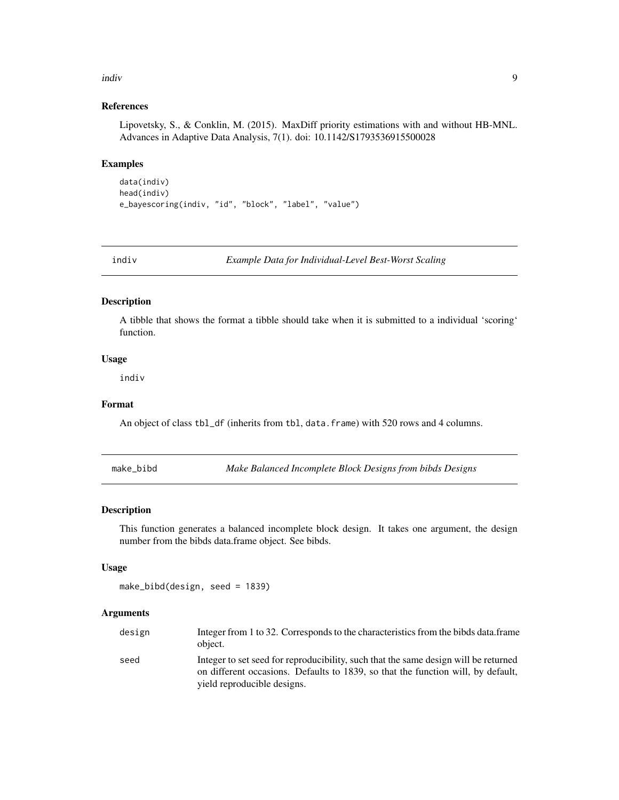#### <span id="page-8-0"></span>indiv 9

# References

Lipovetsky, S., & Conklin, M. (2015). MaxDiff priority estimations with and without HB-MNL. Advances in Adaptive Data Analysis, 7(1). doi: 10.1142/S1793536915500028

#### Examples

```
data(indiv)
head(indiv)
e_bayescoring(indiv, "id", "block", "label", "value")
```
indiv *Example Data for Individual-Level Best-Worst Scaling*

#### Description

A tibble that shows the format a tibble should take when it is submitted to a individual 'scoring' function.

# Usage

indiv

# Format

An object of class tbl\_df (inherits from tbl, data.frame) with 520 rows and 4 columns.

make\_bibd *Make Balanced Incomplete Block Designs from bibds Designs*

# Description

This function generates a balanced incomplete block design. It takes one argument, the design number from the bibds data.frame object. See bibds.

#### Usage

make\_bibd(design, seed = 1839)

#### Arguments

| design | Integer from 1 to 32. Corresponds to the characteristics from the bibds data.frame<br>object.                                                                                                          |
|--------|--------------------------------------------------------------------------------------------------------------------------------------------------------------------------------------------------------|
| seed   | Integer to set seed for reproducibility, such that the same design will be returned<br>on different occasions. Defaults to 1839, so that the function will, by default,<br>yield reproducible designs. |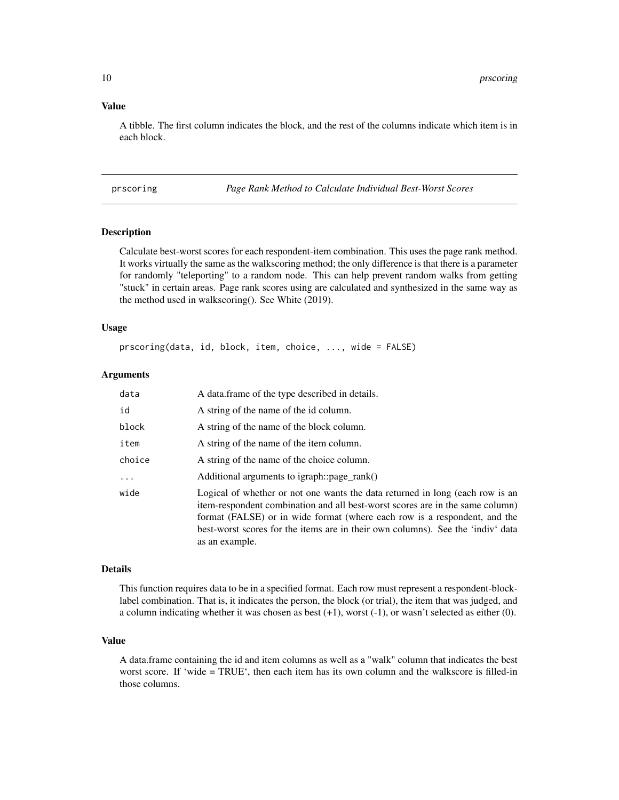# <span id="page-9-0"></span>Value

A tibble. The first column indicates the block, and the rest of the columns indicate which item is in each block.

prscoring *Page Rank Method to Calculate Individual Best-Worst Scores*

# **Description**

Calculate best-worst scores for each respondent-item combination. This uses the page rank method. It works virtually the same as the walkscoring method; the only difference is that there is a parameter for randomly "teleporting" to a random node. This can help prevent random walks from getting "stuck" in certain areas. Page rank scores using are calculated and synthesized in the same way as the method used in walkscoring(). See White (2019).

#### Usage

prscoring(data, id, block, item, choice, ..., wide = FALSE)

#### Arguments

| data     | A data frame of the type described in details.                                                                                                                                                                                                                                                                                                   |
|----------|--------------------------------------------------------------------------------------------------------------------------------------------------------------------------------------------------------------------------------------------------------------------------------------------------------------------------------------------------|
| id       | A string of the name of the id column.                                                                                                                                                                                                                                                                                                           |
| block    | A string of the name of the block column.                                                                                                                                                                                                                                                                                                        |
| item     | A string of the name of the item column.                                                                                                                                                                                                                                                                                                         |
| choice   | A string of the name of the choice column.                                                                                                                                                                                                                                                                                                       |
| $\cdots$ | Additional arguments to igraph::page_rank()                                                                                                                                                                                                                                                                                                      |
| wide     | Logical of whether or not one wants the data returned in long (each row is an<br>item-respondent combination and all best-worst scores are in the same column)<br>format (FALSE) or in wide format (where each row is a respondent, and the<br>best-worst scores for the items are in their own columns). See the 'indiv' data<br>as an example. |

#### Details

This function requires data to be in a specified format. Each row must represent a respondent-blocklabel combination. That is, it indicates the person, the block (or trial), the item that was judged, and a column indicating whether it was chosen as best (+1), worst (-1), or wasn't selected as either (0).

#### Value

A data.frame containing the id and item columns as well as a "walk" column that indicates the best worst score. If 'wide = TRUE', then each item has its own column and the walkscore is filled-in those columns.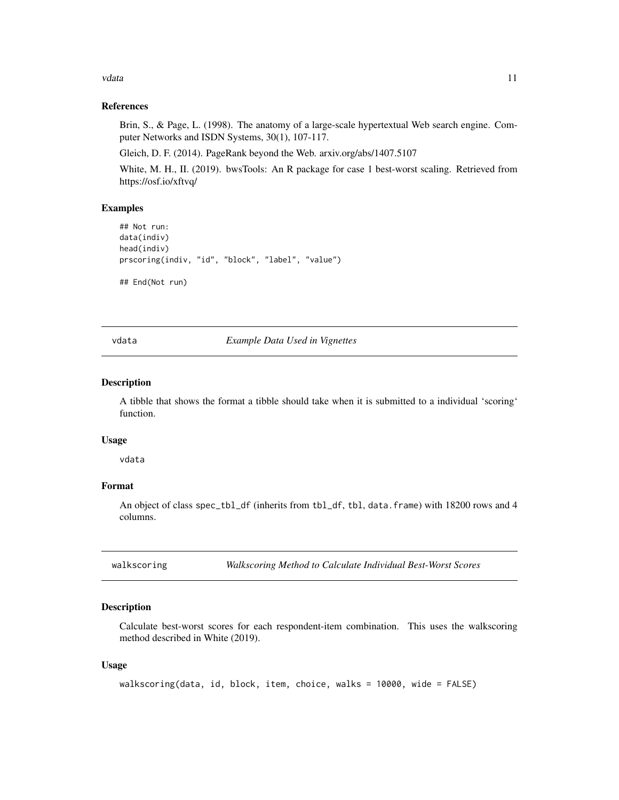<span id="page-10-0"></span>vdata 11

# References

Brin, S., & Page, L. (1998). The anatomy of a large-scale hypertextual Web search engine. Computer Networks and ISDN Systems, 30(1), 107-117.

Gleich, D. F. (2014). PageRank beyond the Web. arxiv.org/abs/1407.5107

White, M. H., II. (2019). bwsTools: An R package for case 1 best-worst scaling. Retrieved from https://osf.io/xftvq/

#### Examples

```
## Not run:
data(indiv)
head(indiv)
prscoring(indiv, "id", "block", "label", "value")
```
## End(Not run)

vdata *Example Data Used in Vignettes*

# Description

A tibble that shows the format a tibble should take when it is submitted to a individual 'scoring' function.

#### Usage

vdata

# Format

An object of class spec\_tbl\_df (inherits from tbl\_df, tbl, data.frame) with 18200 rows and 4 columns.

walkscoring *Walkscoring Method to Calculate Individual Best-Worst Scores*

#### **Description**

Calculate best-worst scores for each respondent-item combination. This uses the walkscoring method described in White (2019).

#### Usage

```
walkscoring(data, id, block, item, choice, walks = 10000, wide = FALSE)
```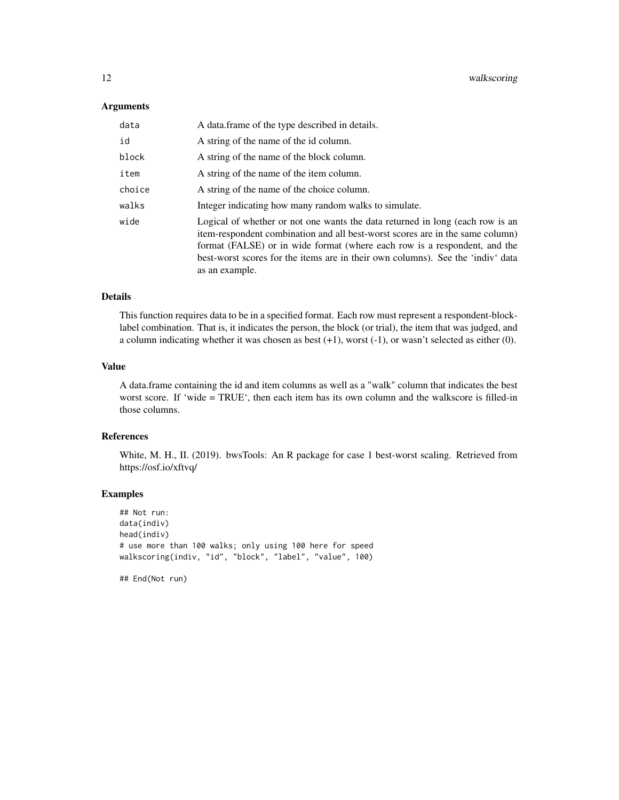#### Arguments

| data   | A data.frame of the type described in details.                                                                                                                                                                                                                                                                                                   |
|--------|--------------------------------------------------------------------------------------------------------------------------------------------------------------------------------------------------------------------------------------------------------------------------------------------------------------------------------------------------|
| id     | A string of the name of the id column.                                                                                                                                                                                                                                                                                                           |
| block  | A string of the name of the block column.                                                                                                                                                                                                                                                                                                        |
| item   | A string of the name of the item column.                                                                                                                                                                                                                                                                                                         |
| choice | A string of the name of the choice column.                                                                                                                                                                                                                                                                                                       |
| walks  | Integer indicating how many random walks to simulate.                                                                                                                                                                                                                                                                                            |
| wide   | Logical of whether or not one wants the data returned in long (each row is an<br>item-respondent combination and all best-worst scores are in the same column)<br>format (FALSE) or in wide format (where each row is a respondent, and the<br>best-worst scores for the items are in their own columns). See the 'indiv' data<br>as an example. |

# Details

This function requires data to be in a specified format. Each row must represent a respondent-blocklabel combination. That is, it indicates the person, the block (or trial), the item that was judged, and a column indicating whether it was chosen as best (+1), worst (-1), or wasn't selected as either (0).

# Value

A data.frame containing the id and item columns as well as a "walk" column that indicates the best worst score. If 'wide = TRUE', then each item has its own column and the walkscore is filled-in those columns.

# References

White, M. H., II. (2019). bwsTools: An R package for case 1 best-worst scaling. Retrieved from https://osf.io/xftvq/

# Examples

## Not run: data(indiv) head(indiv) # use more than 100 walks; only using 100 here for speed walkscoring(indiv, "id", "block", "label", "value", 100)

## End(Not run)